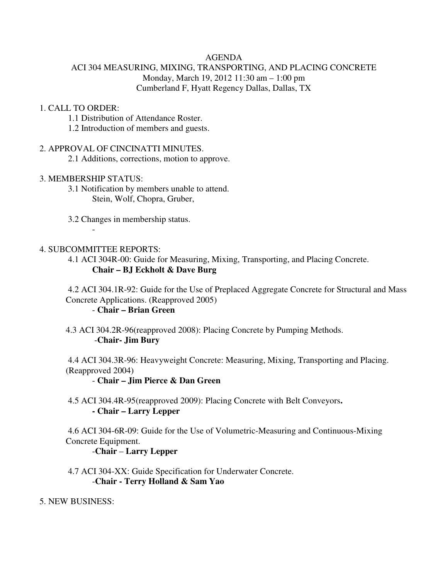## AGENDA

# ACI 304 MEASURING, MIXING, TRANSPORTING, AND PLACING CONCRETE Monday, March 19, 2012 11:30 am – 1:00 pm Cumberland F, Hyatt Regency Dallas, Dallas, TX

### 1. CALL TO ORDER:

- 1.1 Distribution of Attendance Roster.
- 1.2 Introduction of members and guests.

### 2. APPROVAL OF CINCINATTI MINUTES.

2.1 Additions, corrections, motion to approve.

## 3. MEMBERSHIP STATUS:

 $-$  -  $-$ 

- 3.1 Notification by members unable to attend. Stein, Wolf, Chopra, Gruber,
- 3.2 Changes in membership status.

### 4. SUBCOMMITTEE REPORTS:

 4.1 ACI 304R-00: Guide for Measuring, Mixing, Transporting, and Placing Concrete. **Chair – BJ Eckholt & Dave Burg**

 4.2 ACI 304.1R-92: Guide for the Use of Preplaced Aggregate Concrete for Structural and Mass Concrete Applications. (Reapproved 2005) - **Chair – Brian Green**

 4.3 ACI 304.2R-96(reapproved 2008): Placing Concrete by Pumping Methods. -**Chair- Jim Bury** 

 4.4 ACI 304.3R-96: Heavyweight Concrete: Measuring, Mixing, Transporting and Placing. (Reapproved 2004)

#### - **Chair – Jim Pierce & Dan Green**

 4.5 ACI 304.4R-95(reapproved 2009): Placing Concrete with Belt Conveyors**. - Chair – Larry Lepper** 

 4.6 ACI 304-6R-09: Guide for the Use of Volumetric-Measuring and Continuous-Mixing Concrete Equipment.

## -**Chair** – **Larry Lepper**

 4.7 ACI 304-XX: Guide Specification for Underwater Concrete. -**Chair - Terry Holland & Sam Yao**

5. NEW BUSINESS: